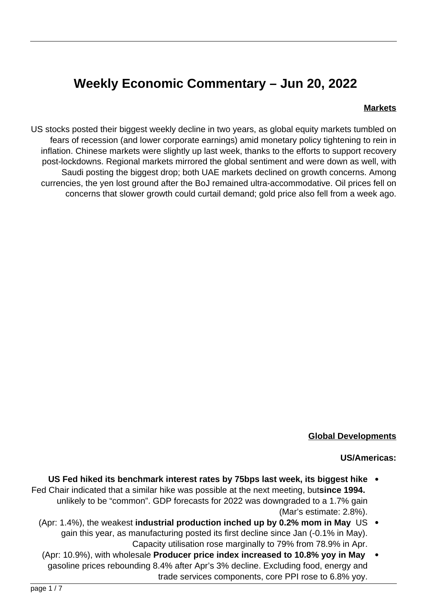# **Weekly Economic Commentary - Jun 20, 2022**

#### **Markets**

US stocks posted their biggest weekly decline in two years, as global equity markets tumbled on fears of recession (and lower corporate earnings) amid monetary policy tightening to rein in inflation. Chinese markets were slightly up last week, thanks to the efforts to support recovery post-lockdowns. Regional markets mirrored the global sentiment and were down as well, with Saudi posting the biggest drop; both UAE markets declined on growth concerns. Among currencies, the yen lost ground after the BoJ remained ultra-accommodative. Oil prices fell on concerns that slower growth could curtail demand; gold price also fell from a week ago.



#### **Global Developments**

#### US/Americas:

- **US Fed hiked its benchmark interest rates by 75 bps last week, its biggest hike** Fed Chair indicated that a similar hike was possible at the next meeting, butsince 1994. unlikely to be "common". GDP forecasts for 2022 was downgraded to a 1.7% gain  $(Mar's$  estimate:  $2.8\%)$ .
	- (Apr: 1.4%), the weakest industrial production inched up by 0.2% mom in May US gain this year, as manufacturing posted its first decline since Jan (-0.1% in May). Capacity utilisation rose marginally to 79% from 78.9% in Apr.
	- **(Apr: 10.9%), with wholesale Producer price index increased to 10.8% vov in Mav** gasoline prices rebounding 8.4% after Apr's 3% decline. Excluding food, energy and trade services components, core PPI rose to 6.8% yoy.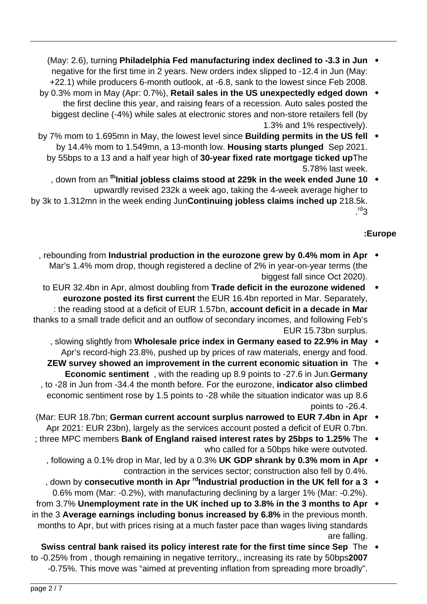- **(May: 2.6), turning Philadelphia Fed manufacturing index declined to -3.3 in Jun** negative for the first time in 2 years. New orders index slipped to -12.4 in Jun (May: +22.1) while producers 6-month outlook, at -6.8, sank to the lowest since Feb 2008.
- by 0.3% mom in May (Apr: 0.7%), **Retail sales in the US unexpectedly edged down** . the first decline this year, and raising fears of a recession. Auto sales posted the biggest decline (-4%) while sales at electronic stores and non-store retailers fell (by 1.3% and 1% respectively).
- by 7% mom to 1.695 mn in May, the lowest level since **Building permits in the US fell** by 14.4% mom to 1.549mn, a 13-month low. Housing starts plunged Sep 2021. by 55bps to a 13 and a half year high of 30-year fixed rate mortgage ticked upThe 5.78% last week.
- , down from an <sup>th</sup> Initial jobless claims stood at 229k in the week ended June 10 upwardly revised 232k a week ago, taking the 4-week average higher to by 3k to 1.312mn in the week ending Jun**Continuing jobless claims inched up** 218.5k. .<sup>rd</sup>3

### **Europe:**

- Approximating from **Industrial production in the eurozone grew by 0.4% mom in Apr** Mar's 1.4% mom drop, though registered a decline of 2% in year-on-year terms (the biggest fall since Oct 2020).
- to EUR 32.4 bn in Apr, almost doubling from Trade deficit in the eurozone widened eurozone posted its first current the EUR 16.4 bn reported in Mar. Separately, : the reading stood at a deficit of EUR 1.57bn, account deficit in a decade in Mar thanks to a small trade deficit and an outflow of secondary incomes, and following Feb's EUR 15.73 bn surplus.
	- , slowing slightly from Wholesale price index in Germany eased to 22.9% in May Apr's record-high 23.8%, pushed up by prices of raw materials, energy and food.
	- **ZEW survey showed an improvement in the current economic situation in The Economic sentiment**, with the reading up 8.9 points to -27.6 in Jun. Germany , to -28 in Jun from -34.4 the month before. For the eurozone, indicator also climbed economic sentiment rose by 1.5 points to -28 while the situation indicator was up 8.6 points to  $-26.4$ .
- **(Mar: EUR 18.7bn; German current account surplus narrowed to EUR 7.4bn in Apr**  $\bullet$ Apr 2021: EUR 23bn), largely as the services account posted a deficit of EUR 0.7bn.
- three MPC members **Bank of England raised interest rates by 25bps to 1.25%** The who called for a 50bps hike were outvoted.
	- , following a 0.1% drop in Mar, led by a 0.3% UK GDP shrank by 0.3% mom in Apr  $\cdot$ contraction in the services sector; construction also fell by 0.4%.
	- , down by consecutive month in Apr <sup>rd</sup>Industrial production in the UK fell for a 3 0.6% mom (Mar: -0.2%), with manufacturing declining by a larger 1% (Mar: -0.2%).
- from 3.7% Unemployment rate in the UK inched up to 3.8% in the 3 months to Apr  $\bullet$ in the 3 Average earnings including bonus increased by 6.8% in the previous month. months to Apr, but with prices rising at a much faster pace than wages living standards are falling.
- **Swiss central bank raised its policy interest rate for the first time since Sep** The to -0.25% from, though remaining in negative territory,, increasing its rate by 50bps2007 -0.75%. This move was "aimed at preventing inflation from spreading more broadly".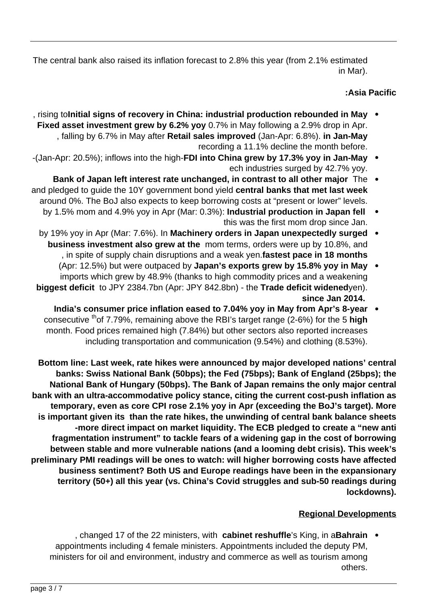The central bank also raised its inflation forecast to 2.8% this year (from 2.1% estimated in Mar).

## **Asia Pacific**

- mathor induction resource in turnstrial industrial production rebounded in May  $\bullet$ Fixed asset investment grew by 6.2% yoy 0.7% in May following a 2.9% drop in Apr. , falling by 6.7% in May after Retail sales improved (Jan-Apr: 6.8%). in Jan-May recording a 11.1% decline the month before.
- -(Jan-Apr: 20.5%); inflows into the high-FDI into China grew by 17.3% yoy in Jan-May  $\bullet$ ech industries surged by 42.7% yoy.
- Bank of Japan left interest rate unchanged, in contrast to all other major The and pledged to guide the 10Y government bond yield central banks that met last week around 0%. The BoJ also expects to keep borrowing costs at "present or lower" levels.
	- by 1.5% mom and 4.9% yoy in Apr (Mar: 0.3%): Industrial production in Japan fell this was the first mom drop since Jan.
	- **by 19% yoy in Apr (Mar: 7.6%). In Machinery orders in Japan unexpectedly surged** business investment also grew at the mom terms, orders were up by 10.8%, and , in spite of supply chain disruptions and a weak yen.fastest pace in 18 months
	- (Apr: 12.5%) but were outpaced by Japan's exports grew by 15.8% yoy in May imports which grew by 48.9% (thanks to high commodity prices and a weakening biggest deficit to JPY 2384.7bn (Apr: JPY 842.8bn) - the Trade deficit widenedyen).  **2014. Jan since**
		- India's consumer price inflation eased to 7.04% yoy in May from Apr's 8-year consecutive <sup>th</sup>of 7.79%, remaining above the RBI's target range (2-6%) for the 5 **high** month. Food prices remained high (7.84%) but other sectors also reported increases including transportation and communication  $(9.54%)$  and clothing  $(8.53%)$ .

Bottom line: Last week, rate hikes were announced by major developed nations' central **banks: Swiss National Bank (50bps); the Fed (75bps); Bank of England (25bps); the** National Bank of Hungary (50bps). The Bank of Japan remains the only major central bank with an ultra-accommodative policy stance, citing the current cost-push inflation as temporary, even as core CPI rose 2.1% yoy in Apr (exceeding the BoJ's target). More is important given its than the rate hikes, the unwinding of central bank balance sheets -more direct impact on market liquidity. The ECB pledged to create a "new anti fragmentation instrument" to tackle fears of a widening gap in the cost of borrowing between stable and more vulnerable nations (and a looming debt crisis). This week's preliminary PMI readings will be ones to watch: will higher borrowing costs have affected business sentiment? Both US and Europe readings have been in the expansionary territory (50+) all this year (vs. China's Covid struggles and sub-50 readings during **.(lockdowns**

#### **Regional Developments**

ara Changed 17 of the 22 ministers, with cabinet reshuffle's King, in aBahrain  $\bullet$ appointments including 4 female ministers. Appointments included the deputy PM, ministers for oil and environment, industry and commerce as well as tourism among .others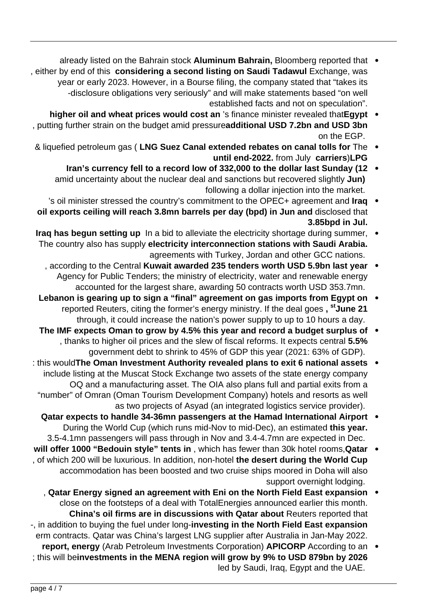- already listed on the Bahrain stock Aluminum Bahrain, Bloomberg reported that . , either by end of this considering a second listing on Saudi Tadawul Exchange, was year or early 2023. However, in a Bourse filing, the company stated that "takes its -disclosure obligations very seriously" and will make statements based "on well established facts and not on speculation".
- higher oil and wheat prices would cost an 's finance minister revealed that Egypt butting further strain on the budget amid pressure**additional USD 7.2bn and USD 3bn** on the EGP.
- & liquefied petroleum gas ( LNG Suez Canal extended rebates on canal tolls for The . **until end-2022.** from July carriers)LPG
	- Iran's currency fell to a record low of 332,000 to the dollar last Sunday (12 . amid uncertainty about the nuclear deal and sanctions but recovered slightly **Jun)** following a dollar injection into the market.
- 's oil minister stressed the country's commitment to the OPEC+ agreement and **Iraq** oil exports ceiling will reach 3.8mn barrels per day (bpd) in Jun and disclosed that **.Jul in bpd3.85**
- **Iraq has begun setting up** In a bid to alleviate the electricity shortage during summer, The country also has supply electricity interconnection stations with Saudi Arabia. agreements with Turkey, Jordan and other GCC nations.
	- , according to the Central Kuwait awarded 235 tenders worth USD 5.9bn last year Agency for Public Tenders; the ministry of electricity, water and renewable energy accounted for the largest share, awarding 50 contracts worth USD 353.7mn.
- **Lebanon is gearing up to sign a "final" agreement on gas imports from Egypt on** reported Reuters, citing the former's energy ministry. If the deal goes, <sup>st</sup> June 21 through, it could increase the nation's power supply to up to 10 hours a day.
- The IMF expects Oman to grow by 4.5% this year and record a budget surplus of thanks to higher oil prices and the slew of fiscal reforms. It expects central **5.5%** government debt to shrink to 45% of GDP this year (2021: 63% of GDP).
- : this would The Oman Investment Authority revealed plans to exit 6 national assets include listing at the Muscat Stock Exchange two assets of the state energy company OQ and a manufacturing asset. The OIA also plans full and partial exits from a "number" of Omran (Oman Tourism Development Company) hotels and resorts as well as two projects of Asyad (an integrated logistics service provider).
	- **Qatar expects to handle 34-36 mn passengers at the Hamad International Airport** During the World Cup (which runs mid-Nov to mid-Dec), an estimated this year. 3.5-4.1 mn passengers will pass through in Nov and 3.4-4.7 mn are expected in Dec.
- will offer 1000 "Bedouin style" tents in , which has fewer than 30k hotel rooms, Qatar , of which 200 will be luxurious. In addition, non-hotel the desert during the World Cup accommodation has been boosted and two cruise ships moored in Doha will also support overnight lodging.
- **Qatar Energy signed an agreement with Eni on the North Field East expansion** close on the footsteps of a deal with TotalEnergies announced earlier this month. **China's oil firms are in discussions with Qatar about Reuters reported that** -, in addition to buying the fuel under long-investing in the North Field East expansion erm contracts. Qatar was China's largest LNG supplier after Australia in Jan-May 2022.
- report, energy (Arab Petroleum Investments Corporation) APICORP According to an ; this will beinvestments in the MENA region will grow by 9% to USD 879bn by 2026 led by Saudi, Iraq, Egypt and the UAE.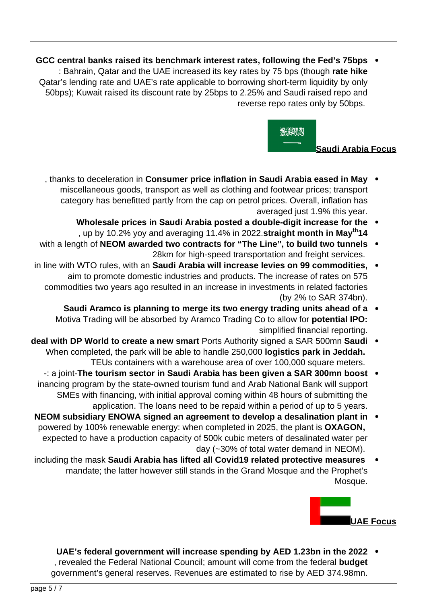**b** GCC central banks raised its benchmark interest rates, following the Fed's 75bps • **hightary Chical andaby the UAE** increased its key rates by 75 bps (though rate hike Qatar's lending rate and UAE's rate applicable to borrowing short-term liquidity by only 50bps); Kuwait raised its discount rate by 25bps to 2.25% and Saudi raised repo and reverse repo rates only by 50bps.



- thanks to deceleration in **Consumer price inflation in Saudi Arabia eased in May** miscellaneous goods, transport as well as clothing and footwear prices; transport category has benefitted partly from the cap on petrol prices. Overall, inflation has averaged just 1.9% this year.
	- **Wholesale prices in Saudi Arabia posted a double-digit increase for the** , up by 10.2% yoy and averaging 11.4% in 2022. straight month in May<sup>th</sup>14
- with a length of NEOM awarded two contracts for "The Line", to build two tunnels . 28km for high-speed transportation and freight services.
- in line with WTO rules, with an Saudi Arabia will increase levies on 99 commodities, aim to promote domestic industries and products. The increase of rates on 575 commodities two years ago resulted in an increase in investments in related factories (by  $2\%$  to SAR 374bn).
	- **Saudi Aramco is planning to merge its two energy trading units ahead of a** Motiva Trading will be absorbed by Aramco Trading Co to allow for **potential IPO:** simplified financial reporting.
- **deal with DP World to create a new smart Ports Authority signed a SAR 500mn Saudi** When completed, the park will be able to handle 250,000 **logistics park in Jeddah.** TEUs containers with a warehouse area of over 100,000 square meters.
	- **boost manabiat manabiat manabia Saudi Arabia has been given a SAR 300mn boost** inancing program by the state-owned tourism fund and Arab National Bank will support SMEs with financing, with initial approval coming within 48 hours of submitting the application. The loans need to be repaid within a period of up to 5 years.
- **NEOM** subsidiary ENOWA signed an agreement to develop a desalination plant in powered by 100% renewable energy: when completed in 2025, the plant is **OXAGON**, expected to have a production capacity of 500k cubic meters of desalinated water per day  $(-30\%$  of total water demand in NEOM).
- including the mask Saudi Arabia has lifted all Covid19 related protective measures mandate; the latter however still stands in the Grand Mosque and the Prophet's Mosque.



**2022 • UAE's federal government will increase spending by AED 1.23bn in the 2022** , revealed the Federal National Council; amount will come from the federal **budget** government's general reserves. Revenues are estimated to rise by AED 374.98 mn.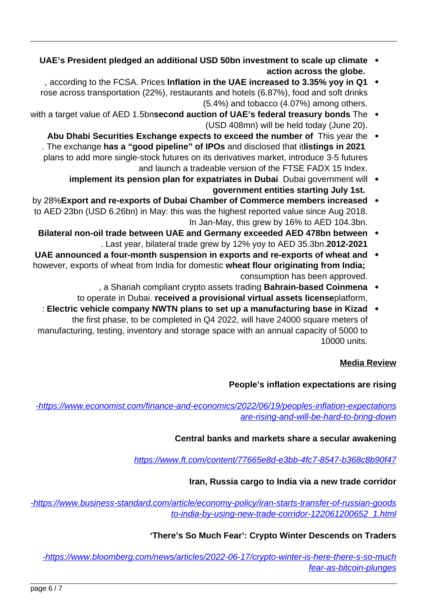- **CLIMATE:** UAE's President pledged an additional USD 50bn investment to scale up climate action across the globe.
- , according to the FCSA. Prices Inflation in the UAE increased to 3.35% yoy in Q1 rose across transportation (22%), restaurants and hotels (6.87%), food and soft drinks  $(5.4\%)$  and tobacco  $(4.07\%)$  among others.
- with a target value of AED 1.5 bnsecond auction of UAE's federal treasury bonds The . (USD 408mn) will be held today (June 20).
	- Abu Dhabi Securities Exchange expects to exceed the number of This year the . . The exchange has a "good pipeline" of IPOs and disclosed that itlistings in 2021 plans to add more single-stock futures on its derivatives market, introduce 3-5 futures and launch a tradeable version of the FTSE FADX 15 Index.
		- implement its pension plan for expatriates in Dubai Dubai government will government entities starting July 1st.
- **by 28% Export and re-exports of Dubai Chamber of Commerce members increased** to AED 23bn (USD 6.26bn) in May: this was the highest reported value since Aug 2018. In Jan-May, this grew by 16% to AED 104.3 bn.
	- **Bilateral non-oil trade between UAE and Germany exceeded AED 478bn between** . Last year, bilateral trade grew by 12% yoy to AED 35.3bn. 2012-2021
- **UAE** announced a four-month suspension in exports and re-exports of wheat and however, exports of wheat from India for domestic wheat flour originating from India: consumption has been approved.
	- a Shariah compliant crypto assets trading **Bahrain-based Coinmena** . to operate in Dubai. received a provisional virtual assets licenseplatform,
- **Kiable Chicago in Base Theory NWTN plans to set up a manufacturing base in Kizad :** the first phase, to be completed in  $Q4$  2022, will have 24000 square meters of manufacturing, testing, inventory and storage space with an annual capacity of 5000 to 10000 units.

#### **Media Review**

#### **People's inflation expectations are rising**

-https://www.economist.com/finance-and-economics/2022/06/19/peoples-inflation-expectations are-rising-and-will-be-hard-to-bring-down

# **Central banks and markets share a secular awakening**

https://www.ft.com/content/77665e8d-e3bb-4fc7-8547-b368c8b90f47

#### **Iran, Russia cargo to India via a new trade corridor**

-https://www.business-standard.com/article/economy-policy/iran-starts-transfer-of-russian-goods to-india-by-using-new-trade-corridor-122061200652 1.html

#### 'There's So Much Fear': Crypto Winter Descends on Traders

-https://www.bloomberg.com/news/articles/2022-06-17/crypto-winter-is-here-there-s-so-much fear-as-bitcoin-plunges